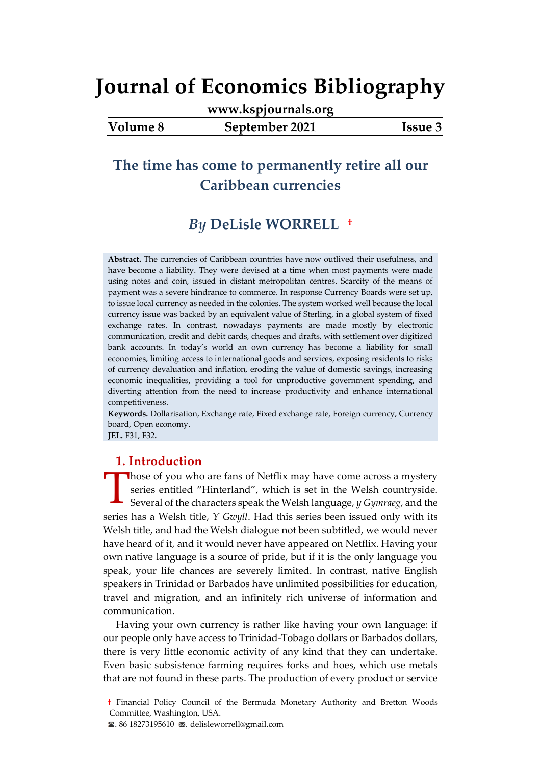**[www.kspjournals.org](file:///G:/26%20Haziran%202021%20Yedek/Akademik/KSP%20Journals/5-%20JEB/82/www.kspjournals.org)**

**Volume 8 September 2021 Issue 3**

## **The time has come to permanently retire all our Caribbean currencies**

## *By* **DeLisle WORRELL[1a](#page-0-0)†**

**Abstract.** The currencies of Caribbean countries have now outlived their usefulness, and have become a liability. They were devised at a time when most payments were made using notes and coin, issued in distant metropolitan centres. Scarcity of the means of payment was a severe hindrance to commerce. In response Currency Boards were set up, to issue local currency as needed in the colonies. The system worked well because the local currency issue was backed by an equivalent value of Sterling, in a global system of fixed exchange rates. In contrast, nowadays payments are made mostly by electronic communication, credit and debit cards, cheques and drafts, with settlement over digitized bank accounts. In today's world an own currency has become a liability for small economies, limiting access to international goods and services, exposing residents to risks of currency devaluation and inflation, eroding the value of domestic savings, increasing economic inequalities, providing a tool for unproductive government spending, and diverting attention from the need to increase productivity and enhance international competitiveness.

**Keywords.** Dollarisation, Exchange rate, Fixed exchange rate, Foreign currency, Currency board, Open economy.

**JEL.** F31, F32**.**

## **1. Introduction**

Those of you who are fans of Netflix may have come across a mystery<br>series entitled "Hinterland", which is set in the Welsh countryside.<br>Several of the characters speak the Welsh language, *y Gymraeg*, and the series entitled "Hinterland", which is set in the Welsh countryside. Several of the characters speak the Welsh language, *y Gymraeg*, and the series has a Welsh title, *Y Gwyll*. Had this series been issued only with its Welsh title, and had the Welsh dialogue not been subtitled, we would never have heard of it, and it would never have appeared on Netflix. Having your own native language is a source of pride, but if it is the only language you speak, your life chances are severely limited. In contrast, native English speakers in Trinidad or Barbados have unlimited possibilities for education, travel and migration, and an infinitely rich universe of information and communication.

Having your own currency is rather like having your own language: if our people only have access to Trinidad-Tobago dollars or Barbados dollars, there is very little economic activity of any kind that they can undertake. Even basic subsistence farming requires forks and hoes, which use metals that are not found in these parts. The production of every product or service

<span id="page-0-0"></span>**<sup>1</sup>** † Financial Policy Council of the Bermuda Monetary Authority and Bretton Woods Committee, Washington, USA.

 $\blacktriangleright$  86 18273195610  $\blacktriangleright$  delisleworrell@gmail.com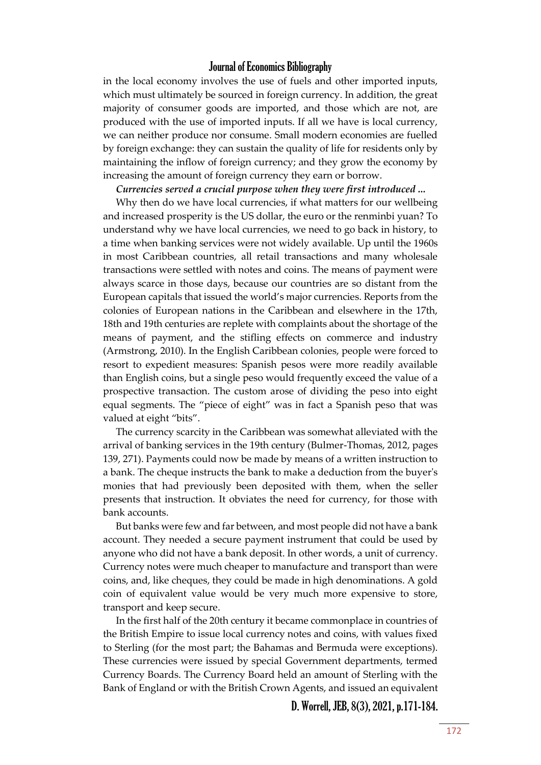in the local economy involves the use of fuels and other imported inputs, which must ultimately be sourced in foreign currency. In addition, the great majority of consumer goods are imported, and those which are not, are produced with the use of imported inputs. If all we have is local currency, we can neither produce nor consume. Small modern economies are fuelled by foreign exchange: they can sustain the quality of life for residents only by maintaining the inflow of foreign currency; and they grow the economy by increasing the amount of foreign currency they earn or borrow.

*Currencies served a crucial purpose when they were first introduced ...*

Why then do we have local currencies, if what matters for our wellbeing and increased prosperity is the US dollar, the euro or the renminbi yuan? To understand why we have local currencies, we need to go back in history, to a time when banking services were not widely available. Up until the 1960s in most Caribbean countries, all retail transactions and many wholesale transactions were settled with notes and coins. The means of payment were always scarce in those days, because our countries are so distant from the European capitals that issued the world's major currencies. Reports from the colonies of European nations in the Caribbean and elsewhere in the 17th, 18th and 19th centuries are replete with complaints about the shortage of the means of payment, and the stifling effects on commerce and industry (Armstrong, 2010). In the English Caribbean colonies, people were forced to resort to expedient measures: Spanish pesos were more readily available than English coins, but a single peso would frequently exceed the value of a prospective transaction. The custom arose of dividing the peso into eight equal segments. The "piece of eight" was in fact a Spanish peso that was valued at eight "bits".

The currency scarcity in the Caribbean was somewhat alleviated with the arrival of banking services in the 19th century (Bulmer-Thomas, 2012, pages 139, 271). Payments could now be made by means of a written instruction to a bank. The cheque instructs the bank to make a deduction from the buyer's monies that had previously been deposited with them, when the seller presents that instruction. It obviates the need for currency, for those with bank accounts.

But banks were few and far between, and most people did not have a bank account. They needed a secure payment instrument that could be used by anyone who did not have a bank deposit. In other words, a unit of currency. Currency notes were much cheaper to manufacture and transport than were coins, and, like cheques, they could be made in high denominations. A gold coin of equivalent value would be very much more expensive to store, transport and keep secure.

In the first half of the 20th century it became commonplace in countries of the British Empire to issue local currency notes and coins, with values fixed to Sterling (for the most part; the Bahamas and Bermuda were exceptions). These currencies were issued by special Government departments, termed Currency Boards. The Currency Board held an amount of Sterling with the Bank of England or with the British Crown Agents, and issued an equivalent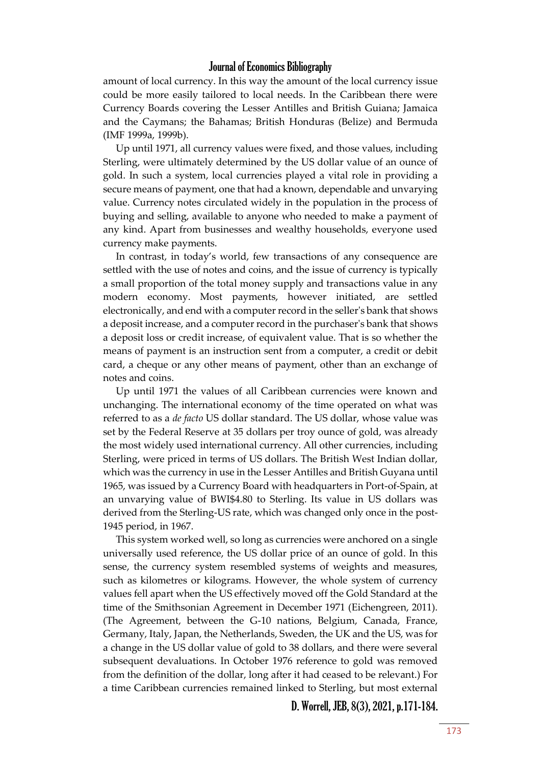amount of local currency. In this way the amount of the local currency issue could be more easily tailored to local needs. In the Caribbean there were Currency Boards covering the Lesser Antilles and British Guiana; Jamaica and the Caymans; the Bahamas; British Honduras (Belize) and Bermuda (IMF 1999a, 1999b).

Up until 1971, all currency values were fixed, and those values, including Sterling, were ultimately determined by the US dollar value of an ounce of gold. In such a system, local currencies played a vital role in providing a secure means of payment, one that had a known, dependable and unvarying value. Currency notes circulated widely in the population in the process of buying and selling, available to anyone who needed to make a payment of any kind. Apart from businesses and wealthy households, everyone used currency make payments.

In contrast, in today's world, few transactions of any consequence are settled with the use of notes and coins, and the issue of currency is typically a small proportion of the total money supply and transactions value in any modern economy. Most payments, however initiated, are settled electronically, and end with a computer record in the seller's bank that shows a deposit increase, and a computer record in the purchaser's bank that shows a deposit loss or credit increase, of equivalent value. That is so whether the means of payment is an instruction sent from a computer, a credit or debit card, a cheque or any other means of payment, other than an exchange of notes and coins.

Up until 1971 the values of all Caribbean currencies were known and unchanging. The international economy of the time operated on what was referred to as a *de facto* US dollar standard. The US dollar, whose value was set by the Federal Reserve at 35 dollars per troy ounce of gold, was already the most widely used international currency. All other currencies, including Sterling, were priced in terms of US dollars. The British West Indian dollar, which was the currency in use in the Lesser Antilles and British Guyana until 1965, was issued by a Currency Board with headquarters in Port-of-Spain, at an unvarying value of BWI\$4.80 to Sterling. Its value in US dollars was derived from the Sterling-US rate, which was changed only once in the post-1945 period, in 1967.

This system worked well, so long as currencies were anchored on a single universally used reference, the US dollar price of an ounce of gold. In this sense, the currency system resembled systems of weights and measures, such as kilometres or kilograms. However, the whole system of currency values fell apart when the US effectively moved off the Gold Standard at the time of the Smithsonian Agreement in December 1971 (Eichengreen, 2011). (The Agreement, between the G-10 nations, Belgium, Canada, France, Germany, Italy, Japan, the Netherlands, Sweden, the UK and the US, was for a change in the US dollar value of gold to 38 dollars, and there were several subsequent devaluations. In October 1976 reference to gold was removed from the definition of the dollar, long after it had ceased to be relevant.) For a time Caribbean currencies remained linked to Sterling, but most external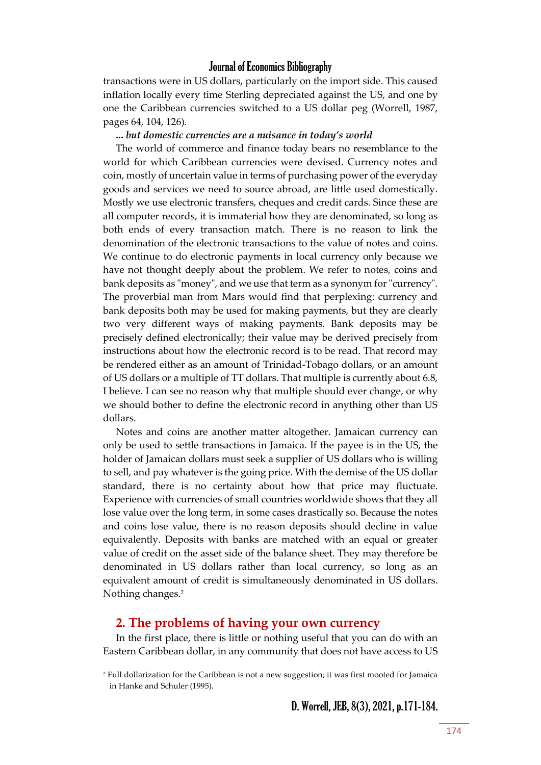transactions were in US dollars, particularly on the import side. This caused inflation locally every time Sterling depreciated against the US, and one by one the Caribbean currencies switched to a US dollar peg (Worrell, 1987, pages 64, 104, 126).

#### **...** *but domestic currencies are a nuisance in today's world*

The world of commerce and finance today bears no resemblance to the world for which Caribbean currencies were devised. Currency notes and coin, mostly of uncertain value in terms of purchasing power of the everyday goods and services we need to source abroad, are little used domestically. Mostly we use electronic transfers, cheques and credit cards. Since these are all computer records, it is immaterial how they are denominated, so long as both ends of every transaction match. There is no reason to link the denomination of the electronic transactions to the value of notes and coins. We continue to do electronic payments in local currency only because we have not thought deeply about the problem. We refer to notes, coins and bank deposits as "money", and we use that term as a synonym for "currency". The proverbial man from Mars would find that perplexing: currency and bank deposits both may be used for making payments, but they are clearly two very different ways of making payments. Bank deposits may be precisely defined electronically; their value may be derived precisely from instructions about how the electronic record is to be read. That record may be rendered either as an amount of Trinidad-Tobago dollars, or an amount of US dollars or a multiple of TT dollars. That multiple is currently about 6.8, I believe. I can see no reason why that multiple should ever change, or why we should bother to define the electronic record in anything other than US dollars.

Notes and coins are another matter altogether. Jamaican currency can only be used to settle transactions in Jamaica. If the payee is in the US, the holder of Jamaican dollars must seek a supplier of US dollars who is willing to sell, and pay whatever is the going price. With the demise of the US dollar standard, there is no certainty about how that price may fluctuate. Experience with currencies of small countries worldwide shows that they all lose value over the long term, in some cases drastically so. Because the notes and coins lose value, there is no reason deposits should decline in value equivalently. Deposits with banks are matched with an equal or greater value of credit on the asset side of the balance sheet. They may therefore be denominated in US dollars rather than local currency, so long as an equivalent amount of credit is simultaneously denominated in US dollars. Nothing changes.<sup>2</sup>

#### **2. The problems of having your own currency**

In the first place, there is little or nothing useful that you can do with an Eastern Caribbean dollar, in any community that does not have access to US

<sup>2</sup> Full dollarization for the Caribbean is not a new suggestion; it was first mooted for Jamaica in Hanke and Schuler (1995).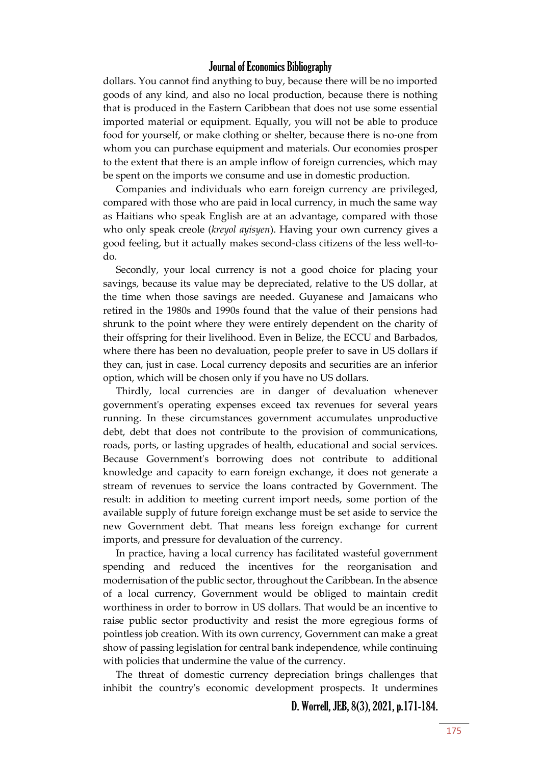dollars. You cannot find anything to buy, because there will be no imported goods of any kind, and also no local production, because there is nothing that is produced in the Eastern Caribbean that does not use some essential imported material or equipment. Equally, you will not be able to produce food for yourself, or make clothing or shelter, because there is no-one from whom you can purchase equipment and materials. Our economies prosper to the extent that there is an ample inflow of foreign currencies, which may be spent on the imports we consume and use in domestic production.

Companies and individuals who earn foreign currency are privileged, compared with those who are paid in local currency, in much the same way as Haitians who speak English are at an advantage, compared with those who only speak creole (*kreyol ayisyen*). Having your own currency gives a good feeling, but it actually makes second-class citizens of the less well-todo.

Secondly, your local currency is not a good choice for placing your savings, because its value may be depreciated, relative to the US dollar, at the time when those savings are needed. Guyanese and Jamaicans who retired in the 1980s and 1990s found that the value of their pensions had shrunk to the point where they were entirely dependent on the charity of their offspring for their livelihood. Even in Belize, the ECCU and Barbados, where there has been no devaluation, people prefer to save in US dollars if they can, just in case. Local currency deposits and securities are an inferior option, which will be chosen only if you have no US dollars.

Thirdly, local currencies are in danger of devaluation whenever government's operating expenses exceed tax revenues for several years running. In these circumstances government accumulates unproductive debt, debt that does not contribute to the provision of communications, roads, ports, or lasting upgrades of health, educational and social services. Because Government's borrowing does not contribute to additional knowledge and capacity to earn foreign exchange, it does not generate a stream of revenues to service the loans contracted by Government. The result: in addition to meeting current import needs, some portion of the available supply of future foreign exchange must be set aside to service the new Government debt. That means less foreign exchange for current imports, and pressure for devaluation of the currency.

In practice, having a local currency has facilitated wasteful government spending and reduced the incentives for the reorganisation and modernisation of the public sector, throughout the Caribbean. In the absence of a local currency, Government would be obliged to maintain credit worthiness in order to borrow in US dollars. That would be an incentive to raise public sector productivity and resist the more egregious forms of pointless job creation. With its own currency, Government can make a great show of passing legislation for central bank independence, while continuing with policies that undermine the value of the currency.

The threat of domestic currency depreciation brings challenges that inhibit the country's economic development prospects. It undermines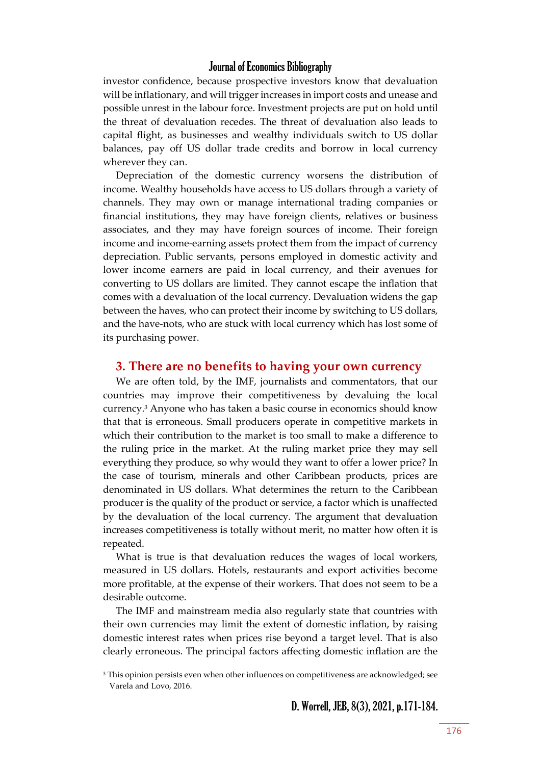investor confidence, because prospective investors know that devaluation will be inflationary, and will trigger increases in import costs and unease and possible unrest in the labour force. Investment projects are put on hold until the threat of devaluation recedes. The threat of devaluation also leads to capital flight, as businesses and wealthy individuals switch to US dollar balances, pay off US dollar trade credits and borrow in local currency wherever they can.

Depreciation of the domestic currency worsens the distribution of income. Wealthy households have access to US dollars through a variety of channels. They may own or manage international trading companies or financial institutions, they may have foreign clients, relatives or business associates, and they may have foreign sources of income. Their foreign income and income-earning assets protect them from the impact of currency depreciation. Public servants, persons employed in domestic activity and lower income earners are paid in local currency, and their avenues for converting to US dollars are limited. They cannot escape the inflation that comes with a devaluation of the local currency. Devaluation widens the gap between the haves, who can protect their income by switching to US dollars, and the have-nots, who are stuck with local currency which has lost some of its purchasing power.

#### **3. There are no benefits to having your own currency**

We are often told, by the IMF, journalists and commentators, that our countries may improve their competitiveness by devaluing the local currency.<sup>3</sup> Anyone who has taken a basic course in economics should know that that is erroneous. Small producers operate in competitive markets in which their contribution to the market is too small to make a difference to the ruling price in the market. At the ruling market price they may sell everything they produce, so why would they want to offer a lower price? In the case of tourism, minerals and other Caribbean products, prices are denominated in US dollars. What determines the return to the Caribbean producer is the quality of the product or service, a factor which is unaffected by the devaluation of the local currency. The argument that devaluation increases competitiveness is totally without merit, no matter how often it is repeated.

What is true is that devaluation reduces the wages of local workers, measured in US dollars. Hotels, restaurants and export activities become more profitable, at the expense of their workers. That does not seem to be a desirable outcome.

The IMF and mainstream media also regularly state that countries with their own currencies may limit the extent of domestic inflation, by raising domestic interest rates when prices rise beyond a target level. That is also clearly erroneous. The principal factors affecting domestic inflation are the

<sup>&</sup>lt;sup>3</sup> This opinion persists even when other influences on competitiveness are acknowledged; see Varela and Lovo, 2016.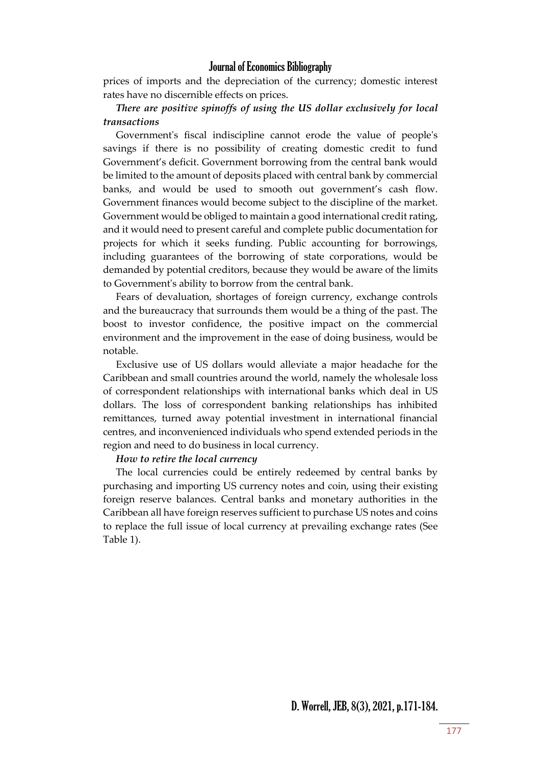prices of imports and the depreciation of the currency; domestic interest rates have no discernible effects on prices.

## *There are positive spinoffs of using the US dollar exclusively for local transactions*

Government's fiscal indiscipline cannot erode the value of people's savings if there is no possibility of creating domestic credit to fund Government's deficit. Government borrowing from the central bank would be limited to the amount of deposits placed with central bank by commercial banks, and would be used to smooth out government's cash flow. Government finances would become subject to the discipline of the market. Government would be obliged to maintain a good international credit rating, and it would need to present careful and complete public documentation for projects for which it seeks funding. Public accounting for borrowings, including guarantees of the borrowing of state corporations, would be demanded by potential creditors, because they would be aware of the limits to Government's ability to borrow from the central bank.

Fears of devaluation, shortages of foreign currency, exchange controls and the bureaucracy that surrounds them would be a thing of the past. The boost to investor confidence, the positive impact on the commercial environment and the improvement in the ease of doing business, would be notable.

Exclusive use of US dollars would alleviate a major headache for the Caribbean and small countries around the world, namely the wholesale loss of correspondent relationships with international banks which deal in US dollars. The loss of correspondent banking relationships has inhibited remittances, turned away potential investment in international financial centres, and inconvenienced individuals who spend extended periods in the region and need to do business in local currency.

#### *How to retire the local currency*

The local currencies could be entirely redeemed by central banks by purchasing and importing US currency notes and coin, using their existing foreign reserve balances. Central banks and monetary authorities in the Caribbean all have foreign reserves sufficient to purchase US notes and coins to replace the full issue of local currency at prevailing exchange rates (See Table 1).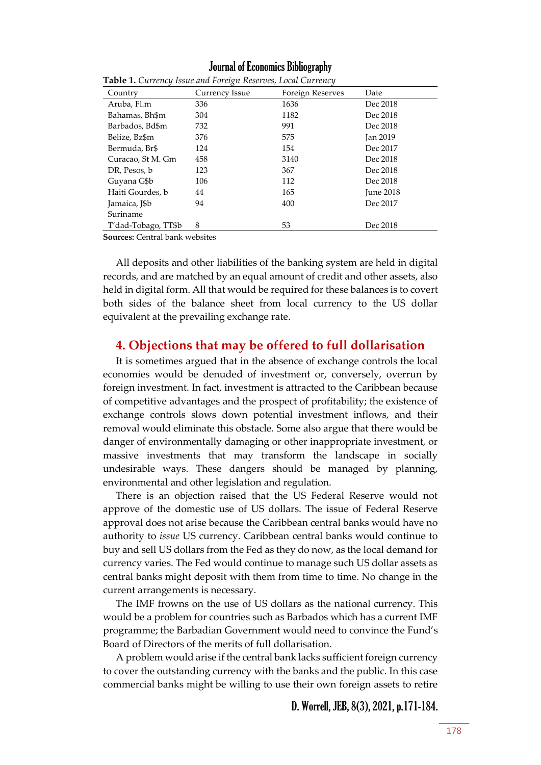Journal of Economics Bibliography

| Country             | Currency Issue | Foreign Reserves | Date            |
|---------------------|----------------|------------------|-----------------|
| Aruba, Fl.m         | 336            | 1636             | Dec 2018        |
| Bahamas, Bh\$m      | 304            | 1182             | Dec 2018        |
| Barbados, Bd\$m     | 732            | 991              | Dec 2018        |
| Belize, Bz\$m       | 376            | 575              | <b>Jan 2019</b> |
| Bermuda, Br\$       | 124            | 154              | Dec 2017        |
| Curacao, St M. Gm   | 458            | 3140             | Dec 2018        |
| DR, Pesos, b        | 123            | 367              | Dec 2018        |
| Guyana G\$b         | 106            | 112              | Dec 2018        |
| Haiti Gourdes, b    | 44             | 165              | June 2018       |
| Jamaica, J\$b       | 94             | 400              | Dec 2017        |
| Suriname            |                |                  |                 |
| T'dad-Tobago, TT\$b | 8              | 53               | Dec 2018        |

**Table 1.** *Currency Issue and Foreign Reserves, Local Currency*

**Sources:** Central bank websites

All deposits and other liabilities of the banking system are held in digital records, and are matched by an equal amount of credit and other assets, also held in digital form. All that would be required for these balances is to covert both sides of the balance sheet from local currency to the US dollar equivalent at the prevailing exchange rate.

## **4. Objections that may be offered to full dollarisation**

It is sometimes argued that in the absence of exchange controls the local economies would be denuded of investment or, conversely, overrun by foreign investment. In fact, investment is attracted to the Caribbean because of competitive advantages and the prospect of profitability; the existence of exchange controls slows down potential investment inflows, and their removal would eliminate this obstacle. Some also argue that there would be danger of environmentally damaging or other inappropriate investment, or massive investments that may transform the landscape in socially undesirable ways. These dangers should be managed by planning, environmental and other legislation and regulation.

There is an objection raised that the US Federal Reserve would not approve of the domestic use of US dollars. The issue of Federal Reserve approval does not arise because the Caribbean central banks would have no authority to *issue* US currency. Caribbean central banks would continue to buy and sell US dollars from the Fed as they do now, as the local demand for currency varies. The Fed would continue to manage such US dollar assets as central banks might deposit with them from time to time. No change in the current arrangements is necessary.

The IMF frowns on the use of US dollars as the national currency. This would be a problem for countries such as Barbados which has a current IMF programme; the Barbadian Government would need to convince the Fund's Board of Directors of the merits of full dollarisation.

A problem would arise if the central bank lacks sufficient foreign currency to cover the outstanding currency with the banks and the public. In this case commercial banks might be willing to use their own foreign assets to retire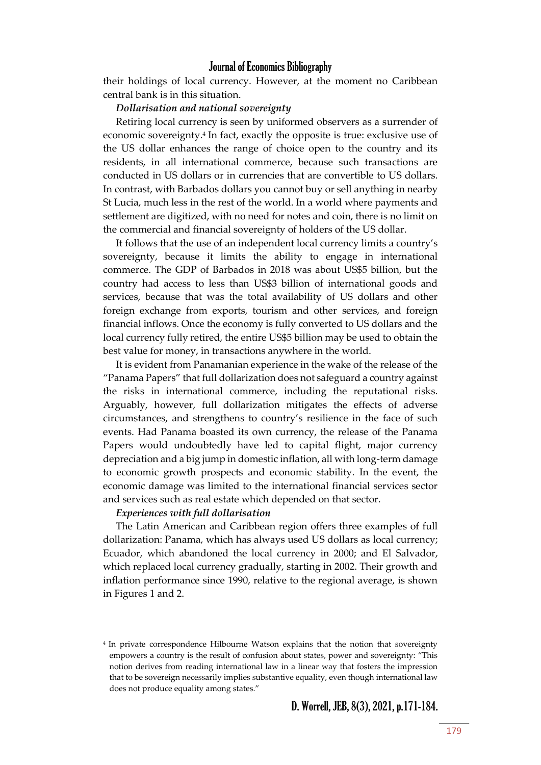their holdings of local currency. However, at the moment no Caribbean central bank is in this situation.

#### *Dollarisation and national sovereignty*

Retiring local currency is seen by uniformed observers as a surrender of economic sovereignty.<sup>4</sup> In fact, exactly the opposite is true: exclusive use of the US dollar enhances the range of choice open to the country and its residents, in all international commerce, because such transactions are conducted in US dollars or in currencies that are convertible to US dollars. In contrast, with Barbados dollars you cannot buy or sell anything in nearby St Lucia, much less in the rest of the world. In a world where payments and settlement are digitized, with no need for notes and coin, there is no limit on the commercial and financial sovereignty of holders of the US dollar.

It follows that the use of an independent local currency limits a country's sovereignty, because it limits the ability to engage in international commerce. The GDP of Barbados in 2018 was about US\$5 billion, but the country had access to less than US\$3 billion of international goods and services, because that was the total availability of US dollars and other foreign exchange from exports, tourism and other services, and foreign financial inflows. Once the economy is fully converted to US dollars and the local currency fully retired, the entire US\$5 billion may be used to obtain the best value for money, in transactions anywhere in the world.

It is evident from Panamanian experience in the wake of the release of the "Panama Papers" that full dollarization does not safeguard a country against the risks in international commerce, including the reputational risks. Arguably, however, full dollarization mitigates the effects of adverse circumstances, and strengthens to country's resilience in the face of such events. Had Panama boasted its own currency, the release of the Panama Papers would undoubtedly have led to capital flight, major currency depreciation and a big jump in domestic inflation, all with long-term damage to economic growth prospects and economic stability. In the event, the economic damage was limited to the international financial services sector and services such as real estate which depended on that sector.

#### *Experiences with full dollarisation*

The Latin American and Caribbean region offers three examples of full dollarization: Panama, which has always used US dollars as local currency; Ecuador, which abandoned the local currency in 2000; and El Salvador, which replaced local currency gradually, starting in 2002. Their growth and inflation performance since 1990, relative to the regional average, is shown in Figures 1 and 2.

<sup>4</sup> In private correspondence Hilbourne Watson explains that the notion that sovereignty empowers a country is the result of confusion about states, power and sovereignty: "This notion derives from reading international law in a linear way that fosters the impression that to be sovereign necessarily implies substantive equality, even though international law does not produce equality among states."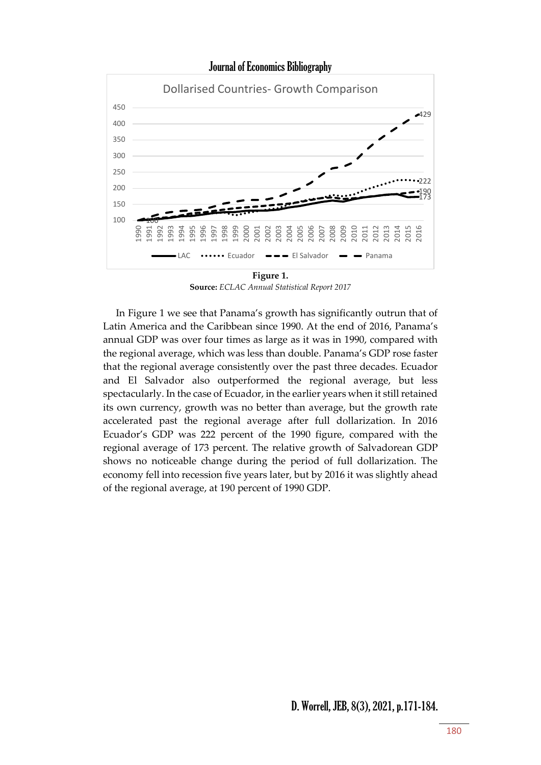

**Source:** *ECLAC Annual Statistical Report 2017*

In Figure 1 we see that Panama's growth has significantly outrun that of Latin America and the Caribbean since 1990. At the end of 2016, Panama's annual GDP was over four times as large as it was in 1990, compared with the regional average, which was less than double. Panama's GDP rose faster that the regional average consistently over the past three decades. Ecuador and El Salvador also outperformed the regional average, but less spectacularly. In the case of Ecuador, in the earlier years when it still retained its own currency, growth was no better than average, but the growth rate accelerated past the regional average after full dollarization. In 2016 Ecuador's GDP was 222 percent of the 1990 figure, compared with the regional average of 173 percent. The relative growth of Salvadorean GDP shows no noticeable change during the period of full dollarization. The economy fell into recession five years later, but by 2016 it was slightly ahead of the regional average, at 190 percent of 1990 GDP.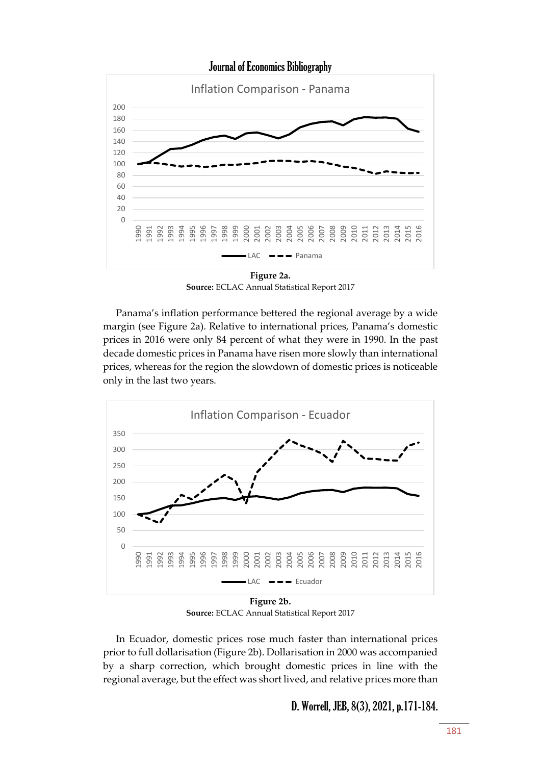

**Source:** ECLAC Annual Statistical Report 2017

Panama's inflation performance bettered the regional average by a wide margin (see Figure 2a). Relative to international prices, Panama's domestic prices in 2016 were only 84 percent of what they were in 1990. In the past decade domestic prices in Panama have risen more slowly than international prices, whereas for the region the slowdown of domestic prices is noticeable only in the last two years.



**Source:** ECLAC Annual Statistical Report 2017

In Ecuador, domestic prices rose much faster than international prices prior to full dollarisation (Figure 2b). Dollarisation in 2000 was accompanied by a sharp correction, which brought domestic prices in line with the regional average, but the effect was short lived, and relative prices more than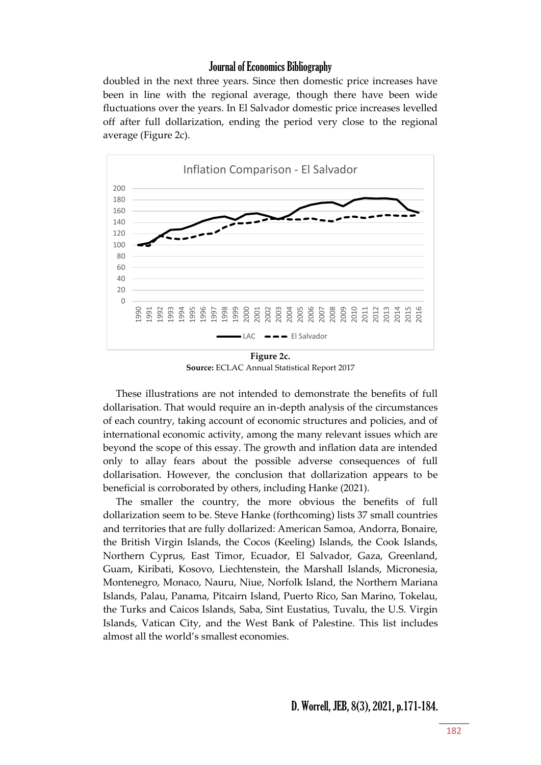doubled in the next three years. Since then domestic price increases have been in line with the regional average, though there have been wide fluctuations over the years. In El Salvador domestic price increases levelled off after full dollarization, ending the period very close to the regional average (Figure 2c).



**Figure 2c. Source:** ECLAC Annual Statistical Report 2017

These illustrations are not intended to demonstrate the benefits of full dollarisation. That would require an in-depth analysis of the circumstances of each country, taking account of economic structures and policies, and of international economic activity, among the many relevant issues which are beyond the scope of this essay. The growth and inflation data are intended only to allay fears about the possible adverse consequences of full dollarisation. However, the conclusion that dollarization appears to be beneficial is corroborated by others, including Hanke (2021).

The smaller the country, the more obvious the benefits of full dollarization seem to be. Steve Hanke (forthcoming) lists 37 small countries and territories that are fully dollarized: American Samoa, Andorra, Bonaire, the British Virgin Islands, the Cocos (Keeling) Islands, the Cook Islands, Northern Cyprus, East Timor, Ecuador, El Salvador, Gaza, Greenland, Guam, Kiribati, Kosovo, Liechtenstein, the Marshall Islands, Micronesia, Montenegro, Monaco, Nauru, Niue, Norfolk Island, the Northern Mariana Islands, Palau, Panama, Pitcairn Island, Puerto Rico, San Marino, Tokelau, the Turks and Caicos Islands, Saba, Sint Eustatius, Tuvalu, the U.S. Virgin Islands, Vatican City, and the West Bank of Palestine. This list includes almost all the world's smallest economies.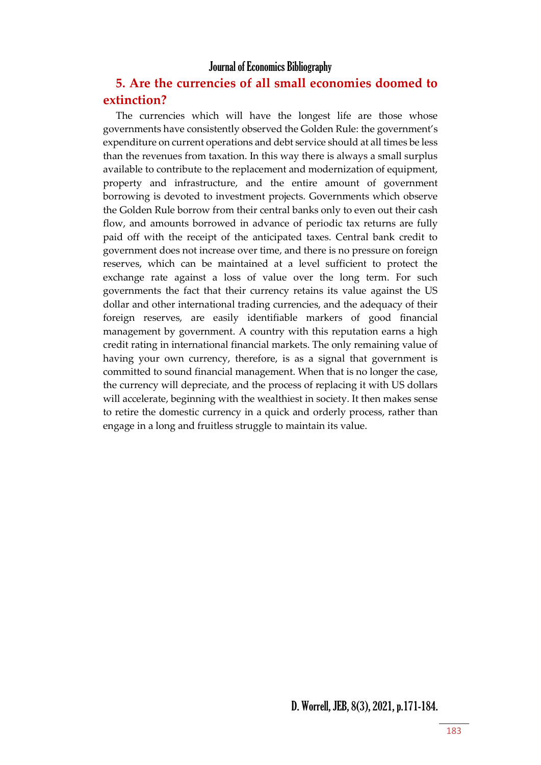## **5. Are the currencies of all small economies doomed to extinction?**

The currencies which will have the longest life are those whose governments have consistently observed the Golden Rule: the government's expenditure on current operations and debt service should at all times be less than the revenues from taxation. In this way there is always a small surplus available to contribute to the replacement and modernization of equipment, property and infrastructure, and the entire amount of government borrowing is devoted to investment projects. Governments which observe the Golden Rule borrow from their central banks only to even out their cash flow, and amounts borrowed in advance of periodic tax returns are fully paid off with the receipt of the anticipated taxes. Central bank credit to government does not increase over time, and there is no pressure on foreign reserves, which can be maintained at a level sufficient to protect the exchange rate against a loss of value over the long term. For such governments the fact that their currency retains its value against the US dollar and other international trading currencies, and the adequacy of their foreign reserves, are easily identifiable markers of good financial management by government. A country with this reputation earns a high credit rating in international financial markets. The only remaining value of having your own currency, therefore, is as a signal that government is committed to sound financial management. When that is no longer the case, the currency will depreciate, and the process of replacing it with US dollars will accelerate, beginning with the wealthiest in society. It then makes sense to retire the domestic currency in a quick and orderly process, rather than engage in a long and fruitless struggle to maintain its value.